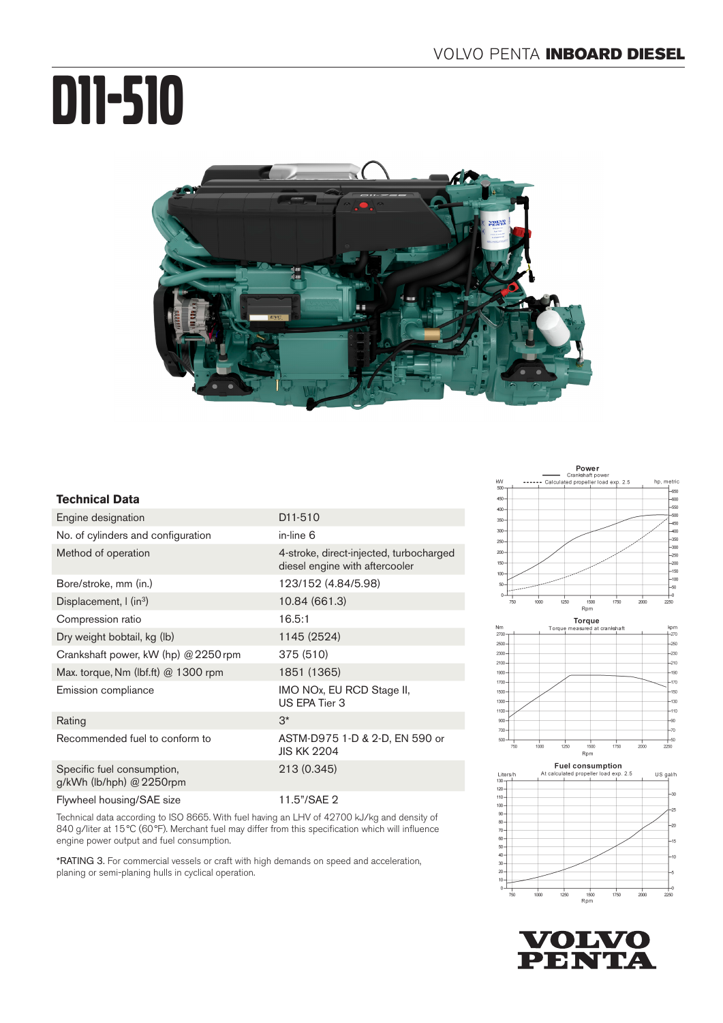# D11-510



# **Technical Data**

| Engine designation                                     | D <sub>11</sub> -510                                                      |
|--------------------------------------------------------|---------------------------------------------------------------------------|
| No. of cylinders and configuration                     | in-line 6                                                                 |
| Method of operation                                    | 4-stroke, direct-injected, turbocharged<br>diesel engine with aftercooler |
| Bore/stroke, mm (in.)                                  | 123/152 (4.84/5.98)                                                       |
| Displacement, $\int$ (in <sup>3</sup> )                | 10.84 (661.3)                                                             |
| Compression ratio                                      | 16.5:1                                                                    |
| Dry weight bobtail, kg (lb)                            | 1145 (2524)                                                               |
| Crankshaft power, kW (hp) @ 2250 rpm                   | 375 (510)                                                                 |
| Max. torque, Nm (lbf.ft) $@$ 1300 rpm                  | 1851 (1365)                                                               |
| Emission compliance                                    | IMO NOx, EU RCD Stage II,<br>US EPA Tier 3                                |
| Rating                                                 | $3^*$                                                                     |
| Recommended fuel to conform to                         | ASTM-D975 1-D & 2-D, EN 590 or<br><b>JIS KK 2204</b>                      |
| Specific fuel consumption,<br>g/kWh (lb/hph) @ 2250rpm | 213 (0.345)                                                               |
| Flywheel housing/SAE size                              | 11.5"/SAE 2                                                               |

Technical data according to ISO 8665. With fuel having an LHV of 42700 kJ/kg and density of 840 g/liter at 15°C (60°F). Merchant fuel may differ from this specification which will influence engine power output and fuel consumption.

\*RATING 3. For commercial vessels or craft with high demands on speed and acceleration, planing or semi-planing hulls in cyclical operation.





 $-130$ 

1300